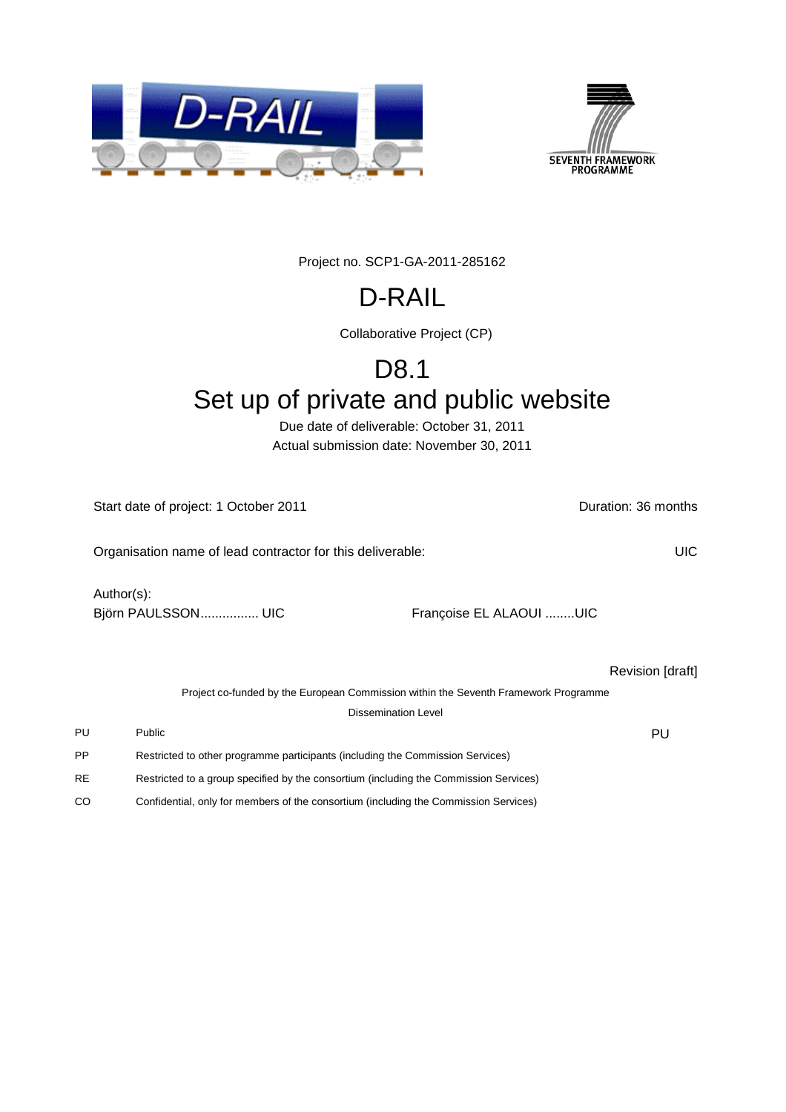



Project no. SCP1-GA-2011-285162

# D-RAIL

Collaborative Project (CP)

# D8.1

# Set up of private and public website

Due date of deliverable: October 31, 2011 Actual submission date: November 30, 2011

Start date of project: 1 October 2011 **Duration: 36 months** 

Organisation name of lead contractor for this deliverable: UIC Author(s): Björn PAULSSON................... UIC Françoise EL ALAOUI ........UIC Revision [draft] Project co-funded by the European Commission within the Seventh Framework Programme Dissemination Level PU Public Public Public Public Public Public Public Public Public Public Public Public Public Public Public Pu

- PP Restricted to other programme participants (including the Commission Services)
- RE Restricted to a group specified by the consortium (including the Commission Services)
- CO Confidential, only for members of the consortium (including the Commission Services)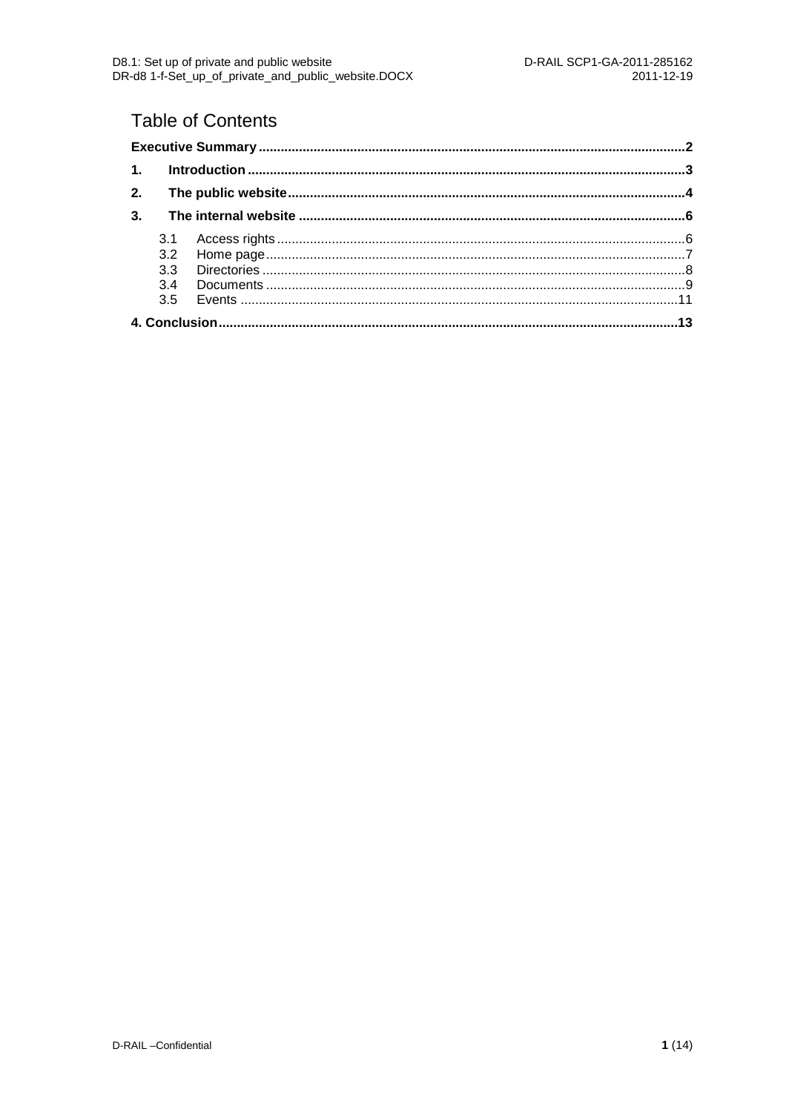### **Table of Contents**

| 2.             |     |  |
|----------------|-----|--|
| 3 <sub>1</sub> |     |  |
|                | 3.1 |  |
|                |     |  |
|                |     |  |
|                |     |  |
|                |     |  |
|                |     |  |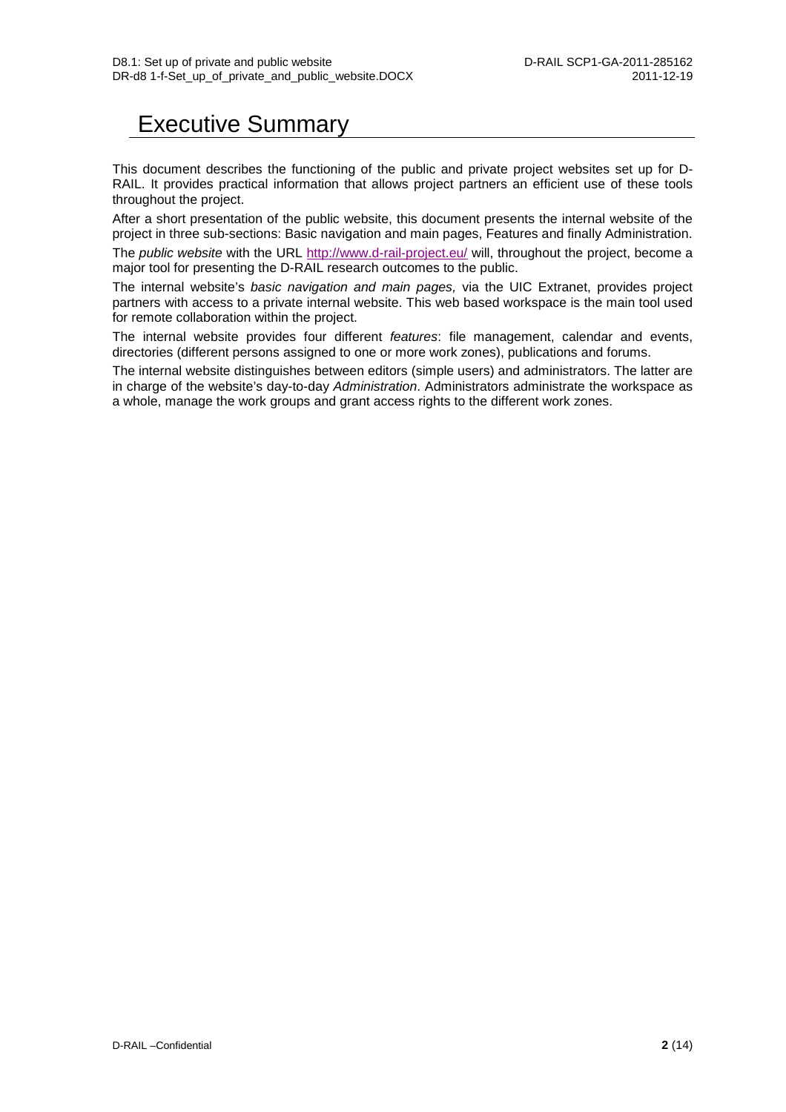### <span id="page-2-0"></span>Executive Summary

This document describes the functioning of the public and private project websites set up for D-RAIL. It provides practical information that allows project partners an efficient use of these tools throughout the project.

After a short presentation of the public website, this document presents the internal website of the project in three sub-sections: Basic navigation and main pages, Features and finally Administration.

The *public website* with the URL<http://www.d-rail-project.eu/> will, throughout the project, become a major tool for presenting the D-RAIL research outcomes to the public.

The internal website's *basic navigation and main pages,* via the UIC Extranet, provides project partners with access to a private internal website. This web based workspace is the main tool used for remote collaboration within the project.

The internal website provides four different *features*: file management, calendar and events, directories (different persons assigned to one or more work zones), publications and forums.

The internal website distinguishes between editors (simple users) and administrators. The latter are in charge of the website's day-to-day *Administration*. Administrators administrate the workspace as a whole, manage the work groups and grant access rights to the different work zones.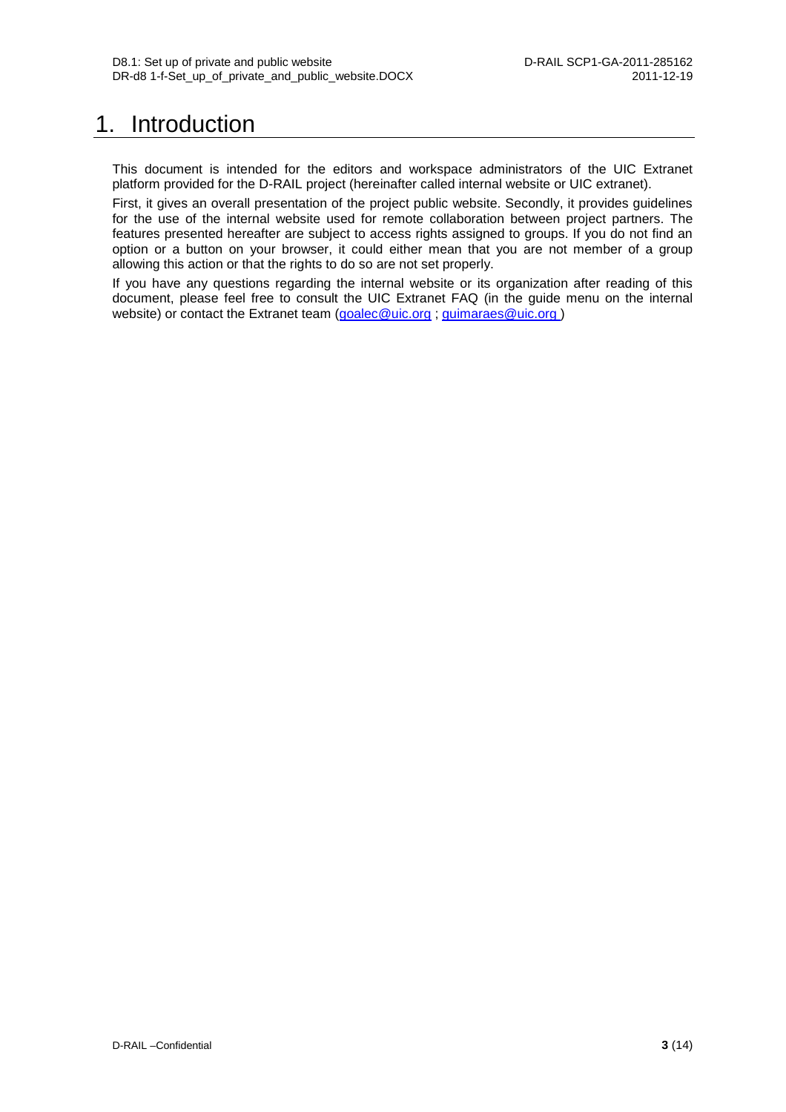## <span id="page-3-0"></span>1. Introduction

This document is intended for the editors and workspace administrators of the UIC Extranet platform provided for the D-RAIL project (hereinafter called internal website or UIC extranet).

First, it gives an overall presentation of the project public website. Secondly, it provides guidelines for the use of the internal website used for remote collaboration between project partners. The features presented hereafter are subject to access rights assigned to groups. If you do not find an option or a button on your browser, it could either mean that you are not member of a group allowing this action or that the rights to do so are not set properly.

If you have any questions regarding the internal website or its organization after reading of this document, please feel free to consult the UIC Extranet FAQ (in the guide menu on the internal website) or contact the Extranet team [\(goalec@uic.org](mailto:goalec@uic.org) ; [guimaraes@uic.org \)](mailto:guimaraes@uic.org)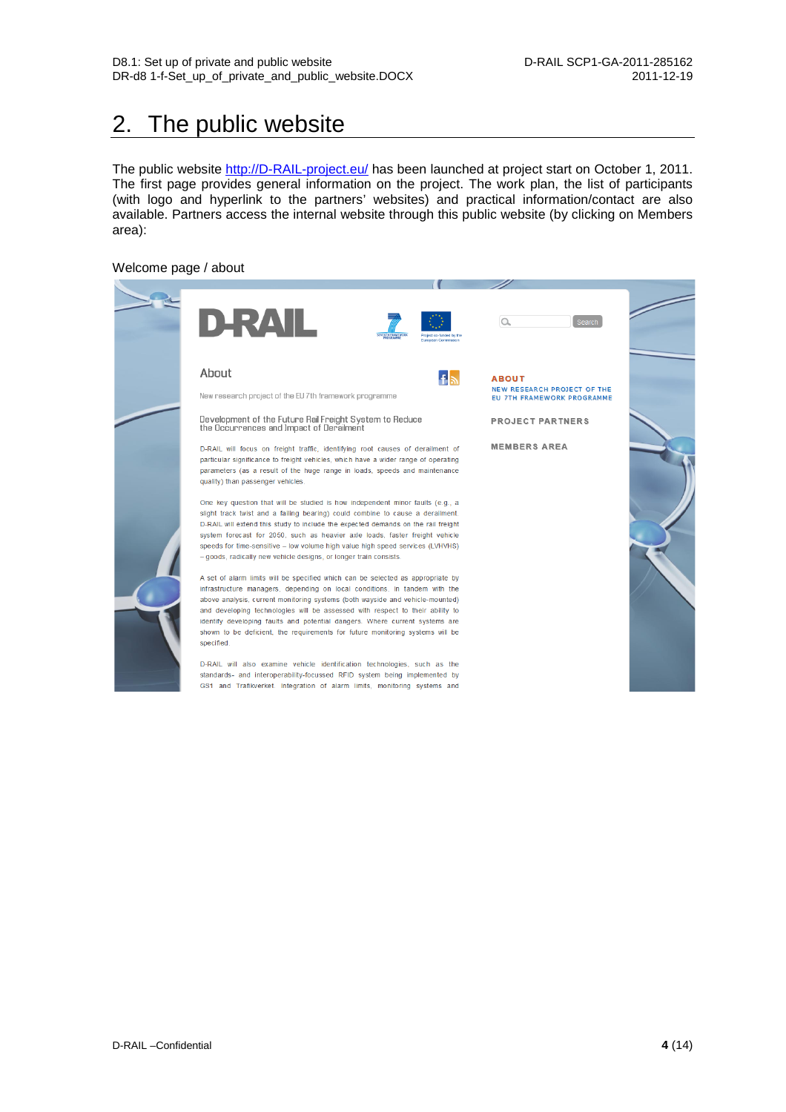## <span id="page-4-0"></span>2. The public website

The public website [http://D-RAIL-project.eu/](http://d-rail-project.eu/) has been launched at project start on October 1, 2011. The first page provides general information on the project. The work plan, the list of participants (with logo and hyperlink to the partners' websites) and practical information/contact are also available. Partners access the internal website through this public website (by clicking on Members area):

#### Welcome page / about

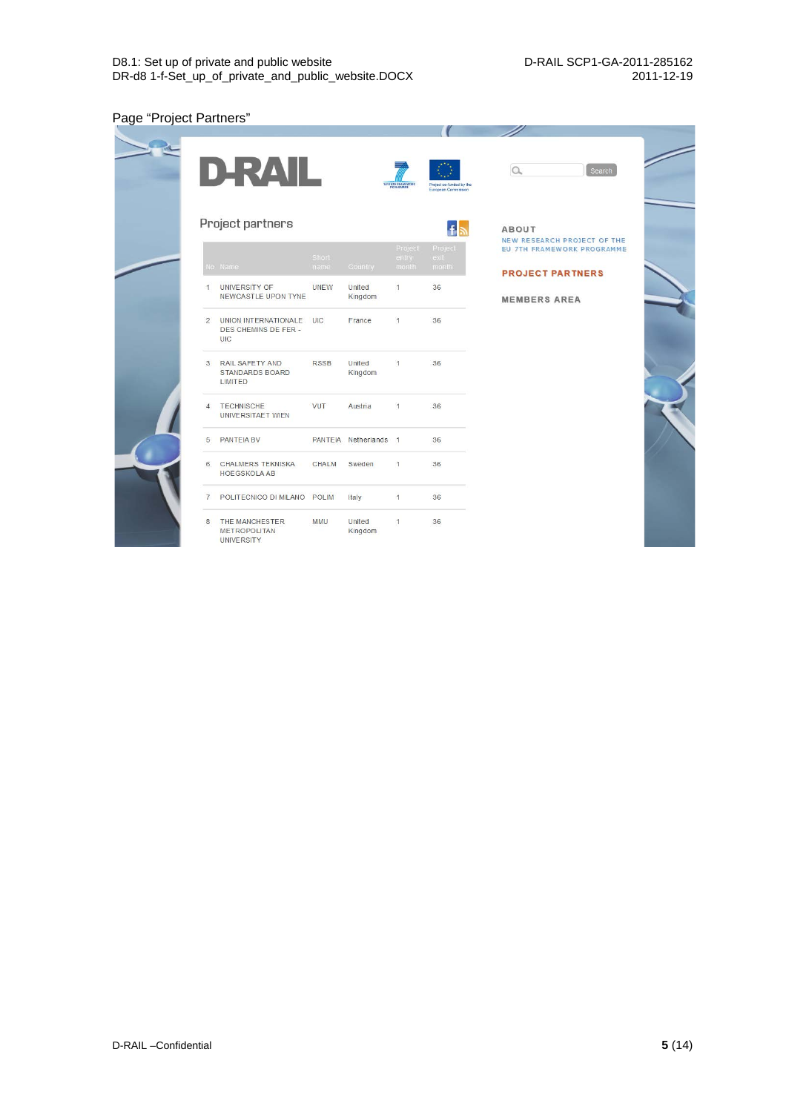### Page "Project Partners"

|                | D-RAIL                                                      |              |                       | SEVENTH FRAMEWORK | Project co-funded by the<br>European Commission | $\alpha$<br>Search                          |
|----------------|-------------------------------------------------------------|--------------|-----------------------|-------------------|-------------------------------------------------|---------------------------------------------|
|                | Project partners                                            |              |                       |                   | $f_{\mathbb{R}}$                                | <b>ABOUT</b><br>NEW RESEARCH PROJECT OF THE |
|                |                                                             | Short        |                       | Project<br>entry  | Project<br>exit                                 | EU 7TH FRAMEWORK PROGRAMME                  |
|                | No Name                                                     | name         | Country               | month             | month                                           | <b>PROJECT PARTNERS</b>                     |
| 1              | <b>UNIVERSITY OF</b><br>NEWCASTLE UPON TYNE                 | <b>UNEW</b>  | United<br>Kingdom     | $\mathbf{1}$      | 36                                              | <b>MEMBERS AREA</b>                         |
| $\overline{2}$ | <b>UNION INTERNATIONALE</b><br>DES CHEMINS DE FER -<br>UIC  | UIC          | France                | $\overline{1}$    | 36                                              |                                             |
| 3              | RAIL SAFETY AND<br><b>STANDARDS BOARD</b><br><b>LIMITED</b> | <b>RSSB</b>  | United<br>Kingdom     | $\overline{1}$    | 36                                              |                                             |
| $\Delta$       | <b>TECHNISCHE</b><br>UNIVERSITAET WIEN                      | <b>VUT</b>   | Austria               | $\overline{1}$    | 36                                              |                                             |
| 5              | <b>PANTEIA BV</b>                                           |              | PANTEIA Netherlands 1 |                   | 36                                              |                                             |
| 6              | <b>CHALMERS TEKNISKA</b><br><b>HOEGSKOLA AB</b>             | <b>CHALM</b> | Sweden                | 1                 | 36                                              |                                             |
| $\overline{7}$ | POLITECNICO DI MILANO POLIM                                 |              | Italy                 | $\overline{1}$    | 36                                              |                                             |
| 8              | THE MANCHESTER<br><b>METROPOLITAN</b><br><b>UNIVERSITY</b>  | <b>MMU</b>   | United<br>Kingdom     | 1                 | 36                                              |                                             |

W

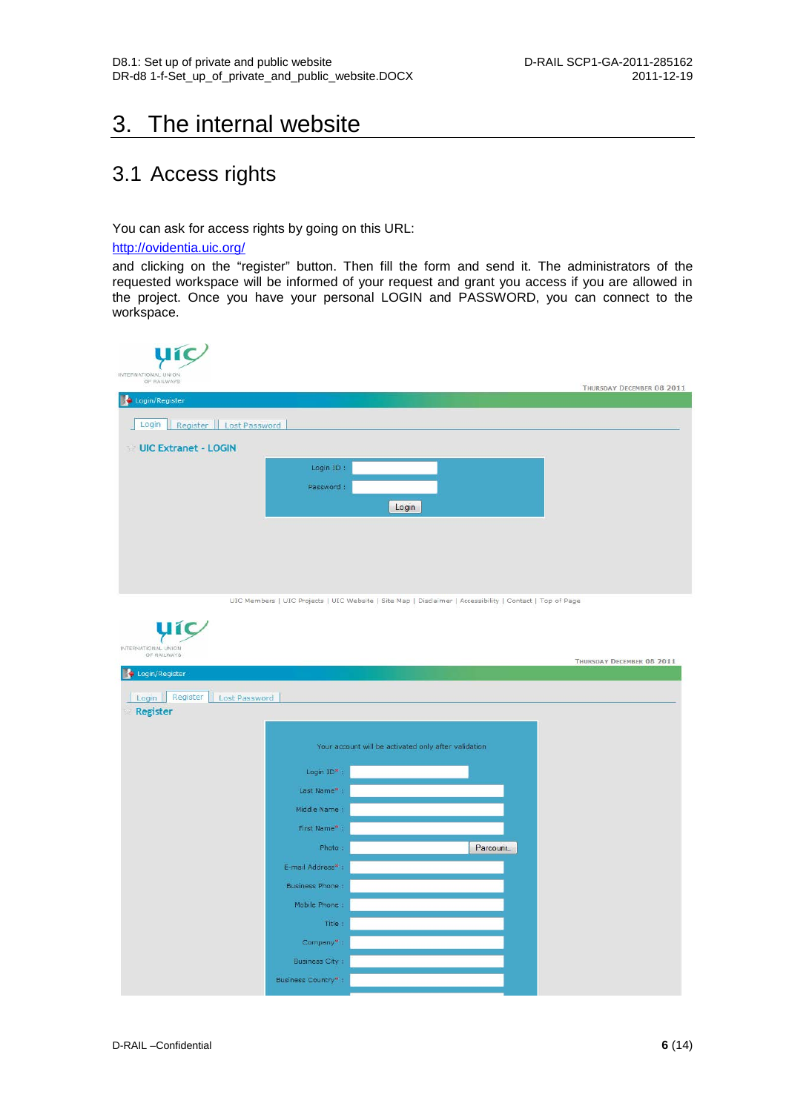### <span id="page-6-0"></span>3. The internal website

### <span id="page-6-1"></span>3.1 Access rights

You can ask for access rights by going on this URL:

#### <http://ovidentia.uic.org/>

**u**ic

and clicking on the "register" button. Then fill the form and send it. The administrators of the requested workspace will be informed of your request and grant you access if you are allowed in the project. Once you have your personal LOGIN and PASSWORD, you can connect to the workspace.

| <b>yic</b><br>INTERNATIONAL UNION |           |                           |
|-----------------------------------|-----------|---------------------------|
| OF RAILWAYS                       |           | THURSDAY DECEMBER 08 2011 |
| Login/Register                    |           |                           |
| Register   Lost Password<br>Login |           |                           |
| UIC Extranet - LOGIN              |           |                           |
|                                   | Login ID: |                           |
|                                   | Password: |                           |
|                                   | Login     |                           |
|                                   |           |                           |
|                                   |           |                           |
|                                   |           |                           |
|                                   |           |                           |

UIC Members | UIC Projects | UIC Website | Site Map | Disclaimer | Accessibility | Contact | Top of Page

| INTERNATIONAL UNION<br>OF RAILWAYS |                       |                                                      | THURSDAY DECEMBER 08 2011 |
|------------------------------------|-----------------------|------------------------------------------------------|---------------------------|
| Login/Register                     |                       |                                                      |                           |
| Register<br>Lost Password<br>Login |                       |                                                      |                           |
| <b>Register</b>                    |                       |                                                      |                           |
|                                    |                       |                                                      |                           |
|                                    |                       | Your account will be activated only after validation |                           |
|                                    | Login $ID^*$ :        |                                                      |                           |
|                                    | Last Name*            |                                                      |                           |
|                                    |                       |                                                      |                           |
|                                    | Middle Name:          |                                                      |                           |
|                                    | First Name* ;         |                                                      |                           |
|                                    | Photo:                | Parcourir_                                           |                           |
|                                    | E-mail Address*:      |                                                      |                           |
|                                    | Business Phone:       |                                                      |                           |
|                                    | Mobile Phone:         |                                                      |                           |
|                                    | Title:                |                                                      |                           |
|                                    | Company*:             |                                                      |                           |
|                                    |                       |                                                      |                           |
|                                    | <b>Business City:</b> |                                                      |                           |
|                                    | Business Country*:    |                                                      |                           |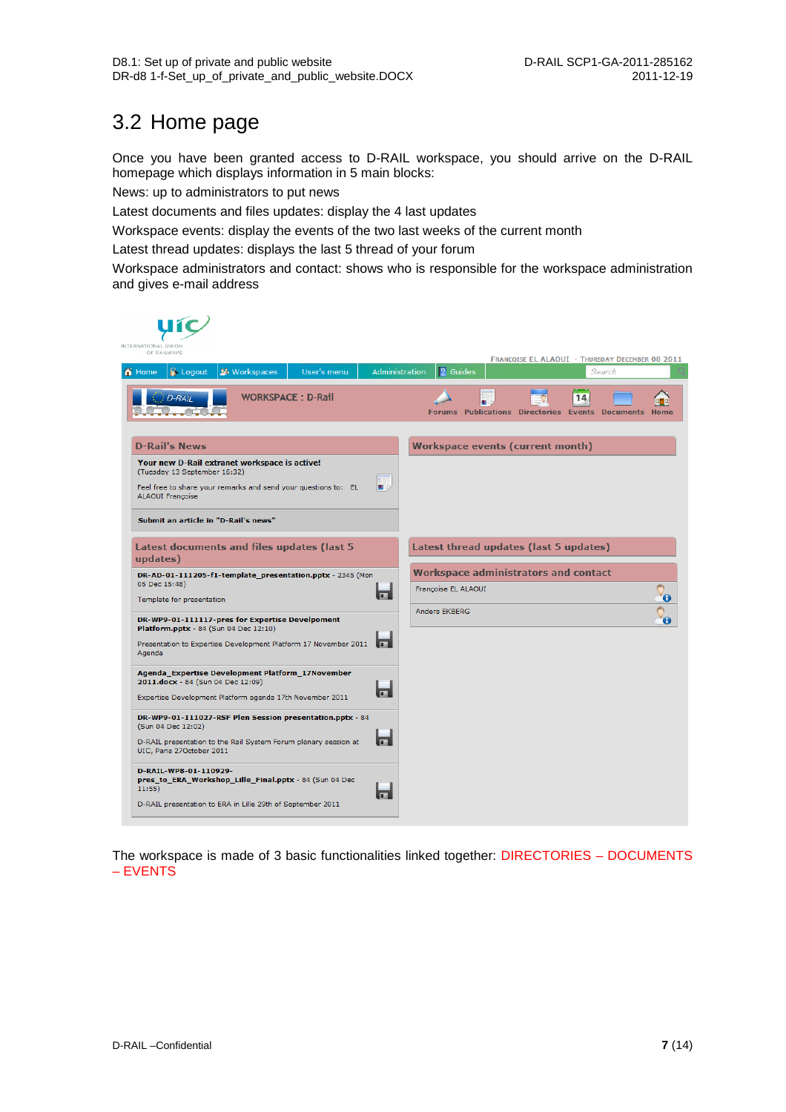### <span id="page-7-0"></span>3.2 Home page

Once you have been granted access to D-RAIL workspace, you should arrive on the D-RAIL homepage which displays information in 5 main blocks:

News: up to administrators to put news

Latest documents and files updates: display the 4 last updates

Workspace events: display the events of the two last weeks of the current month

Latest thread updates: displays the last 5 thread of your forum

Workspace administrators and contact: shows who is responsible for the workspace administration and gives e-mail address

| INTERNATIONAL UNION<br>OF RAILWAYS                                                                                                                                                                                       |                                                                                                         |
|--------------------------------------------------------------------------------------------------------------------------------------------------------------------------------------------------------------------------|---------------------------------------------------------------------------------------------------------|
| <b>24</b> Workspaces<br>$\bigcap$ Home<br>User's menu<br>$\rightarrow$ Logout                                                                                                                                            | FRANÇOISE EL ALAOUI - THURSDAY DECEMBER 08 2011<br>$\sqrt{2}$ Guides<br><b>Administration</b><br>Search |
| <b>WORKSPACE: D-Rail</b><br>$D-RAIL$                                                                                                                                                                                     | 14<br>Forums Publications Directories Events Documents Home                                             |
| <b>D-Rail's News</b>                                                                                                                                                                                                     | <b>Workspace events (current month)</b>                                                                 |
| Your new D-Rail extranet workspace is active!<br>(Tuesday 13 September 16:32)<br>啊.<br>Feel free to share your remarks and send your questions to: EL<br><b>ALAOUI Françoise</b><br>Submit an article in "D-Rail's news" |                                                                                                         |
| <b>Latest documents and files updates (last 5</b><br>updates)                                                                                                                                                            | Latest thread updates (last 5 updates)                                                                  |
| DR-AD-01-111205-f1-template_presentation.pptx - 2345 (Mon<br>05 Dec 15:48)<br>$\blacksquare$<br>Template for presentation                                                                                                | <b>Workspace administrators and contact</b><br>Françoise EL ALAOUI<br>$\mathbf \Theta$                  |
| DR-WP9-01-111117-pres for Expertise Develpoment<br>Platform.pptx - 84 (Sun 04 Dec 12:10)<br>Presentation to Expertise Development Platform 17 November 2011<br><b>In the </b><br>Agenda                                  | <b>Anders EKBERG</b>                                                                                    |
| Agenda_Expertise Development Platform_17November<br>2011.docx - 84 (Sun 04 Dec 12:09)<br><b>In the </b><br>Expertise Development Platform agenda 17th November 2011                                                      |                                                                                                         |
| DR-WP9-01-111027-RSF Plen Session presentation.pptx - 84<br>(Sun 04 Dec 12:02)<br><b>In the </b><br>D-RAIL presentation to the Rail System Forum plenary session at<br>UIC, Paris 27October 2011                         |                                                                                                         |
| D-RAIL-WP8-01-110929-<br>pres_to_ERA_Workshop_Lille_Final.pptx - 84 (Sun 04 Dec<br>$11:55$ )<br>戸<br>D-RAIL presentation to ERA in Lille 29th of September 2011                                                          |                                                                                                         |

The workspace is made of 3 basic functionalities linked together: DIRECTORIES – DOCUMENTS – EVENTS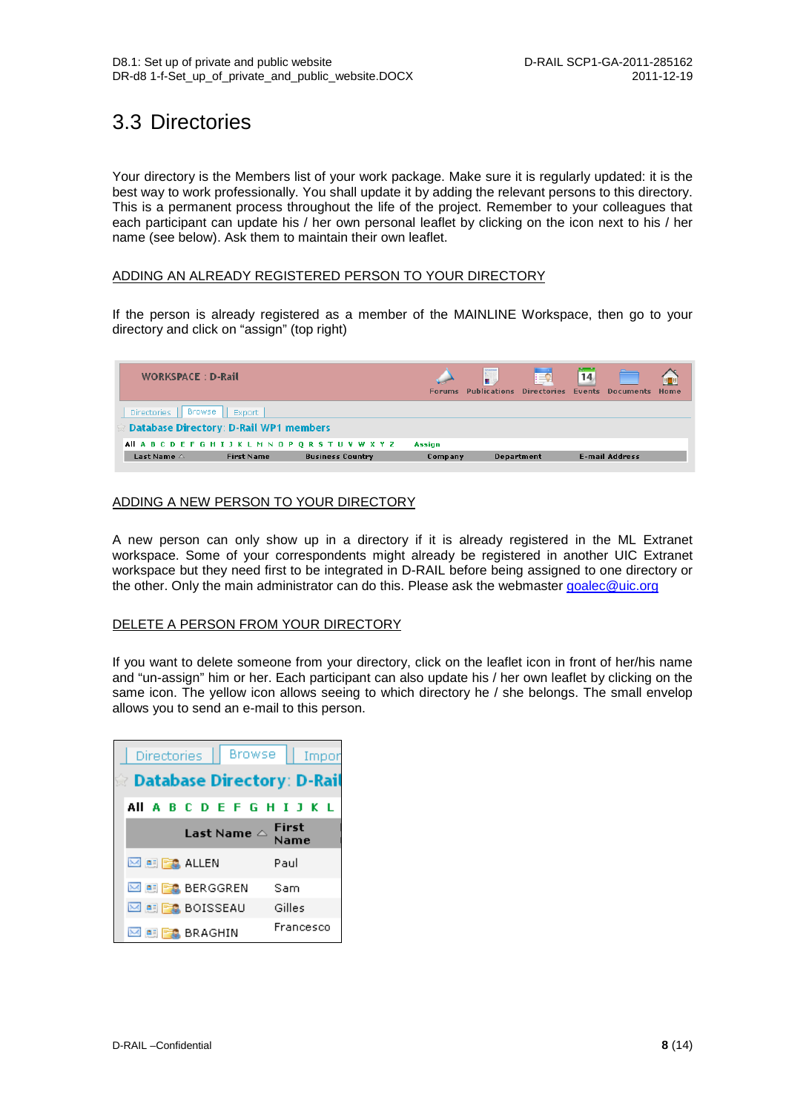### <span id="page-8-0"></span>3.3 Directories

Your directory is the Members list of your work package. Make sure it is regularly updated: it is the best way to work professionally. You shall update it by adding the relevant persons to this directory. This is a permanent process throughout the life of the project. Remember to your colleagues that each participant can update his / her own personal leaflet by clicking on the icon next to his / her name (see below). Ask them to maintain their own leaflet.

#### ADDING AN ALREADY REGISTERED PERSON TO YOUR DIRECTORY

If the person is already registered as a member of the MAINLINE Workspace, then go to your directory and click on "assign" (top right)

| <b>WORKSPACE: D-Rail</b>                                |                         | <b>Forums</b> | Ţ<br><b>Publications</b> | ⊧≡⊽<br><b>Directories</b> | 14<br><b>Events</b> | <b>Documents</b>      | 日日<br>Home |
|---------------------------------------------------------|-------------------------|---------------|--------------------------|---------------------------|---------------------|-----------------------|------------|
| Browse<br><b>Directories</b><br>Export                  |                         |               |                          |                           |                     |                       |            |
| <b>Database Directory: D-Rail WP1 members</b>           |                         |               |                          |                           |                     |                       |            |
| All A B C D E F G H I J K L M N O P O R S T U V W X Y Z |                         | Assign        |                          |                           |                     |                       |            |
| Last Name $\triangle$<br><b>First Name</b>              | <b>Business Country</b> | Company       |                          | <b>Department</b>         |                     | <b>E-mail Address</b> |            |

### ADDING A NEW PERSON TO YOUR DIRECTORY

A new person can only show up in a directory if it is already registered in the ML Extranet workspace. Some of your correspondents might already be registered in another UIC Extranet workspace but they need first to be integrated in D-RAIL before being assigned to one directory or the other. Only the main administrator can do this. Please ask the webmaster [goalec@uic.org](mailto:goalec@uic.org)

#### DELETE A PERSON FROM YOUR DIRECTORY

If you want to delete someone from your directory, click on the leaflet icon in front of her/his name and "un-assign" him or her. Each participant can also update his / her own leaflet by clicking on the same icon. The yellow icon allows seeing to which directory he / she belongs. The small envelop allows you to send an e-mail to this person.

| Directories                    | Browse                                              | - Impor     |
|--------------------------------|-----------------------------------------------------|-------------|
|                                | ☆ Database Directory: D-Rail                        |             |
|                                | All A B C D E F G H I J K L                         |             |
|                                | Last Name $\mathbin{\scriptstyle{\triangle}}$ First | <b>Name</b> |
| <b>EX ALLEN</b>                |                                                     | Paul        |
| ⊠ 團 <mark>Be</mark> , BERGGREN |                                                     | Sam         |
| ⊠ ■ FC BOISSEAU                |                                                     | Gilles      |
| <b>ELECTRIC BRAGHIN</b>        |                                                     | Francesco   |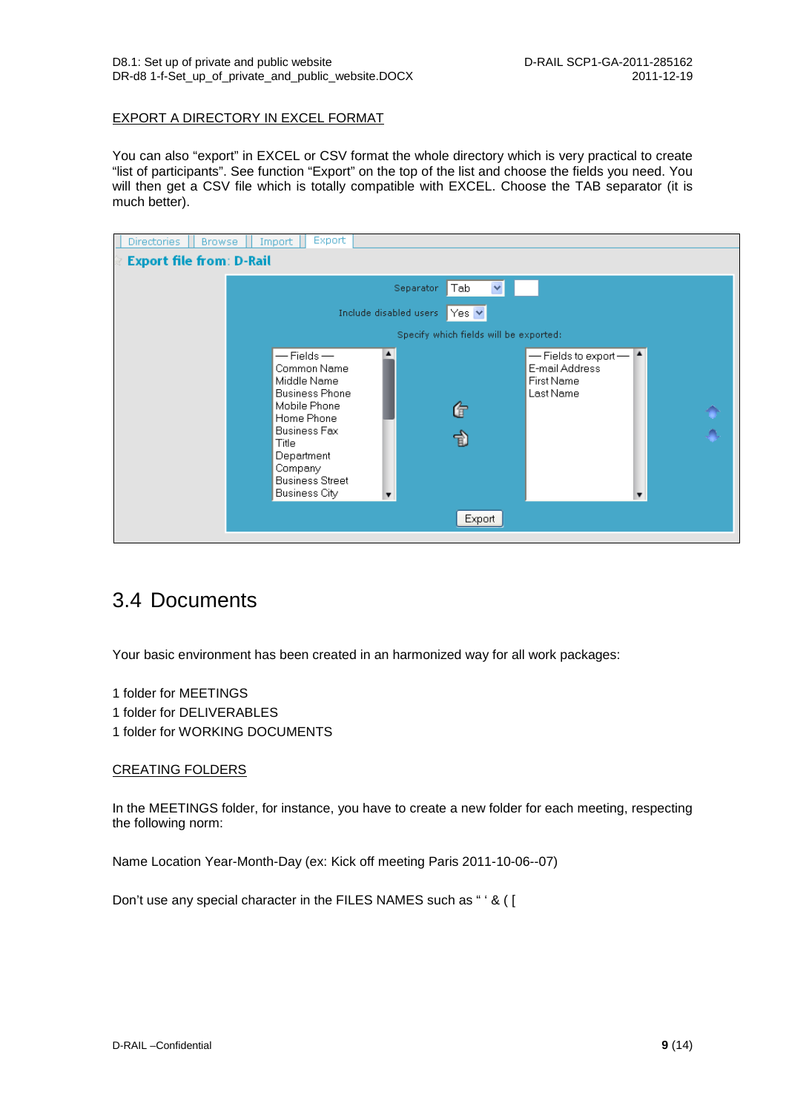#### EXPORT A DIRECTORY IN EXCEL FORMAT

You can also "export" in EXCEL or CSV format the whole directory which is very practical to create "list of participants". See function "Export" on the top of the list and choose the fields you need. You will then get a CSV file which is totally compatible with EXCEL. Choose the TAB separator (it is much better).

| <b>Directories</b><br><b>Browse</b> | Export<br>Import                                                                                                                                                                                                                                                                                                           |  |
|-------------------------------------|----------------------------------------------------------------------------------------------------------------------------------------------------------------------------------------------------------------------------------------------------------------------------------------------------------------------------|--|
| <b>Export file from: D-Rail</b>     |                                                                                                                                                                                                                                                                                                                            |  |
|                                     | $\blacktriangledown$<br>Tab<br>Separator                                                                                                                                                                                                                                                                                   |  |
|                                     | Include disabled users<br>$ Yes \times$                                                                                                                                                                                                                                                                                    |  |
|                                     | Specify which fields will be exported:                                                                                                                                                                                                                                                                                     |  |
|                                     | $-$ Fields $-$<br>$\blacktriangle$<br>$-$ Fields to export $-$<br>E-mail Address<br>Common Name<br>Middle Name<br>First Name<br><b>Business Phone</b><br>Last Name<br>Mobile Phone<br>G<br>Home Phone<br><b>Business Fax</b><br>함<br>Title<br>Department<br>Company<br><b>Business Street</b><br><b>Business City</b><br>▼ |  |
|                                     | Export                                                                                                                                                                                                                                                                                                                     |  |

### <span id="page-9-0"></span>3.4 Documents

Your basic environment has been created in an harmonized way for all work packages:

- 1 folder for MEETINGS
- 1 folder for DELIVERABLES
- 1 folder for WORKING DOCUMENTS

#### CREATING FOLDERS

In the MEETINGS folder, for instance, you have to create a new folder for each meeting, respecting the following norm:

Name Location Year-Month-Day (ex: Kick off meeting Paris 2011-10-06--07)

Don't use any special character in the FILES NAMES such as " ' & ( [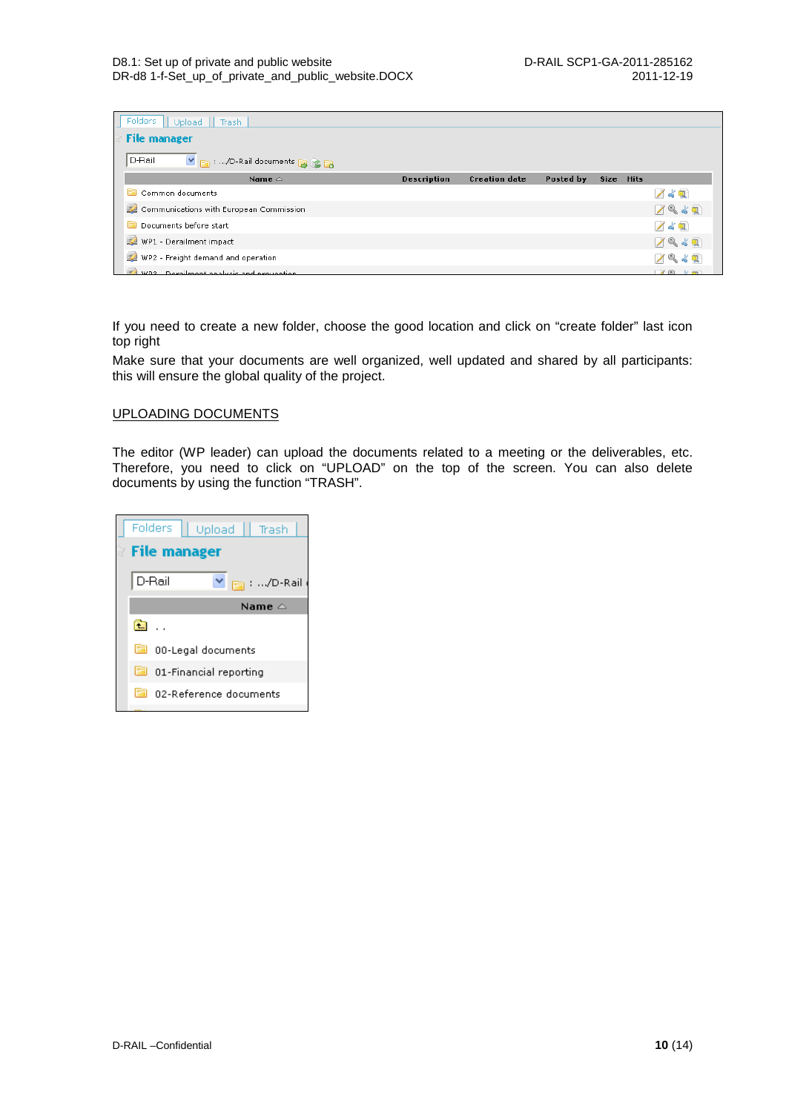| Folders  <br>Upload<br>Trash              |                    |                      |           |             |             |                            |  |  |  |  |
|-------------------------------------------|--------------------|----------------------|-----------|-------------|-------------|----------------------------|--|--|--|--|
| <b>File manager</b>                       |                    |                      |           |             |             |                            |  |  |  |  |
| D-Rail<br>V 图 : /D-Rail documents 图 CB    |                    |                      |           |             |             |                            |  |  |  |  |
| Name $\triangle$                          | <b>Description</b> | <b>Creation date</b> | Posted by | <b>Size</b> | <b>Hits</b> |                            |  |  |  |  |
| m<br>Common documents                     |                    |                      |           |             |             |                            |  |  |  |  |
| Communications with European Commission   |                    |                      |           | 194日        |             |                            |  |  |  |  |
| m<br>Documents before start<br>/ぶ風        |                    |                      |           |             |             |                            |  |  |  |  |
| WP1 - Derailment impact<br>ノミより           |                    |                      |           |             |             |                            |  |  |  |  |
| WP2 - Freight demand and operation        |                    |                      |           |             |             |                            |  |  |  |  |
| WP3 - Derailment analysis and prevention. |                    |                      |           |             |             | $\times$ $\times$ $\times$ |  |  |  |  |

If you need to create a new folder, choose the good location and click on "create folder" last icon top right

Make sure that your documents are well organized, well updated and shared by all participants: this will ensure the global quality of the project.

#### UPLOADING DOCUMENTS

The editor (WP leader) can upload the documents related to a meeting or the deliverables, etc. Therefore, you need to click on "UPLOAD" on the top of the screen. You can also delete documents by using the function "TRASH".

|              |                        |  | Folders   Upload   Trash       |  |
|--------------|------------------------|--|--------------------------------|--|
|              | े File manager         |  |                                |  |
|              | D-Rail                 |  | $\vee$ $\rightarrow$ : /D-Rail |  |
|              |                        |  | Name $\triangle$               |  |
| $\mathbf{t}$ |                        |  |                                |  |
|              | 00-Legal documents     |  |                                |  |
|              | 01-Financial reporting |  |                                |  |
|              | 02-Reference documents |  |                                |  |
|              |                        |  |                                |  |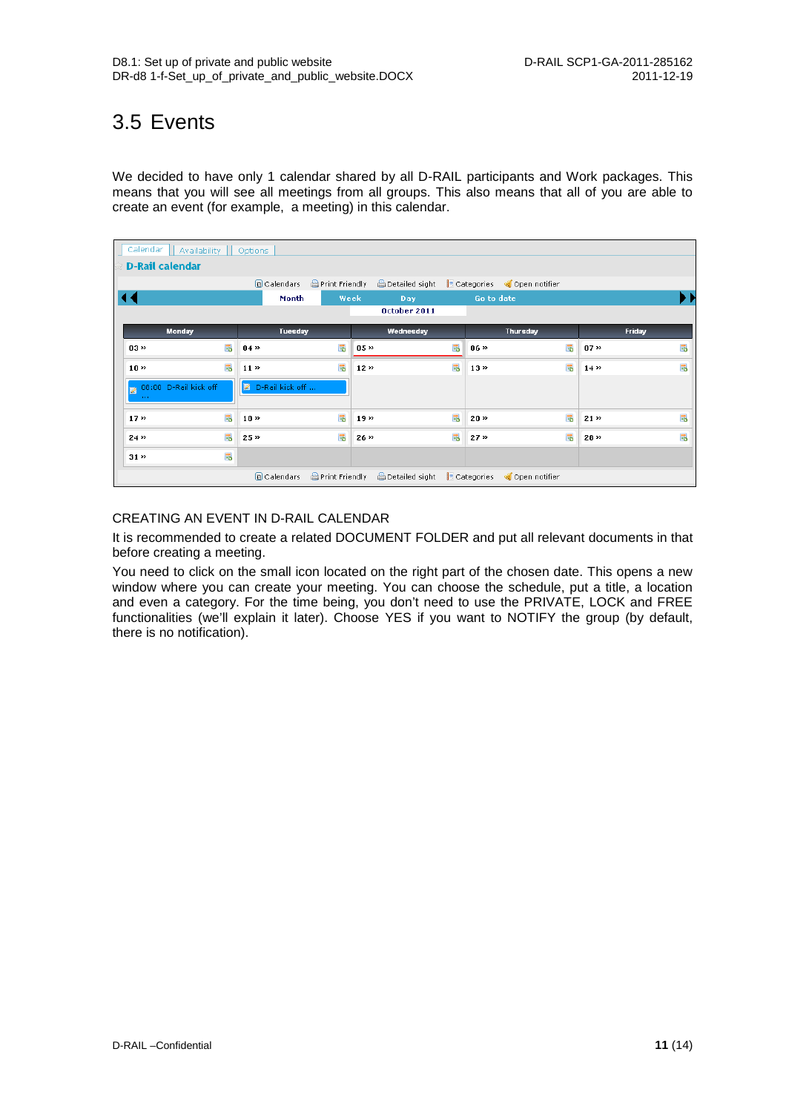### <span id="page-11-0"></span>3.5 Events

We decided to have only 1 calendar shared by all D-RAIL participants and Work packages. This means that you will see all meetings from all groups. This also means that all of you are able to create an event (for example, a meeting) in this calendar.

| Calendar<br>Availability<br>Options |   |                                        |      |                 |   |                                                                            |    |             |     |
|-------------------------------------|---|----------------------------------------|------|-----------------|---|----------------------------------------------------------------------------|----|-------------|-----|
| <b>D-Rail calendar</b>              |   |                                        |      |                 |   |                                                                            |    |             |     |
|                                     |   | <b>A</b> Print Friendly<br>a Calendars |      |                 |   | Detailed sight   Categories < Open notifier                                |    |             |     |
|                                     |   | Month                                  | Week | Day             |   | Go to date                                                                 |    |             | ▸ ⊧ |
|                                     |   |                                        |      | October 2011    |   |                                                                            |    |             |     |
| <b>Monday</b>                       |   | <b>Tuesday</b>                         |      | Wednesday       |   | <b>Thursday</b>                                                            |    | Friday      |     |
| $0.3 \times$                        | 昂 | $04 \times$                            | 昂    | $0.5 \times$    | 區 | $06 \times$                                                                | 昂  | $07 \times$ | 昂   |
| 10 <sup>2</sup>                     | 昂 | 11 <sup>2</sup>                        | 勗    | $12 \times$     | 昂 | $13 \times$                                                                | 昂  | $14 \times$ | 昆   |
| 08:00 D-Rail kick off<br>$\sim 100$ |   | D-Rail kick off                        |      |                 |   |                                                                            |    |             |     |
| 17 <sup>2</sup>                     | 昂 | $18 \times$                            | 昂    | 19 <sub>2</sub> | 昂 | $20$ »                                                                     | 昂  | $21$ »      | 昂   |
| 24 <sub>2</sub>                     | 昂 | 25 <sup>2</sup>                        | Б.   | $26 \times$     | 昂 | 27 <sub>2</sub>                                                            | Б. | $28$ »      | 昂   |
| $31$ $\rightarrow$                  | 勗 |                                        |      |                 |   |                                                                            |    |             |     |
|                                     |   | Calendars                              |      |                 |   | <b>APrint Friendly</b> ADetailed sight <b>B</b> Categories < Open notifier |    |             |     |

### CREATING AN EVENT IN D-RAIL CALENDAR

It is recommended to create a related DOCUMENT FOLDER and put all relevant documents in that before creating a meeting.

You need to click on the small icon located on the right part of the chosen date. This opens a new window where you can create your meeting. You can choose the schedule, put a title, a location and even a category. For the time being, you don't need to use the PRIVATE, LOCK and FREE functionalities (we'll explain it later). Choose YES if you want to NOTIFY the group (by default, there is no notification).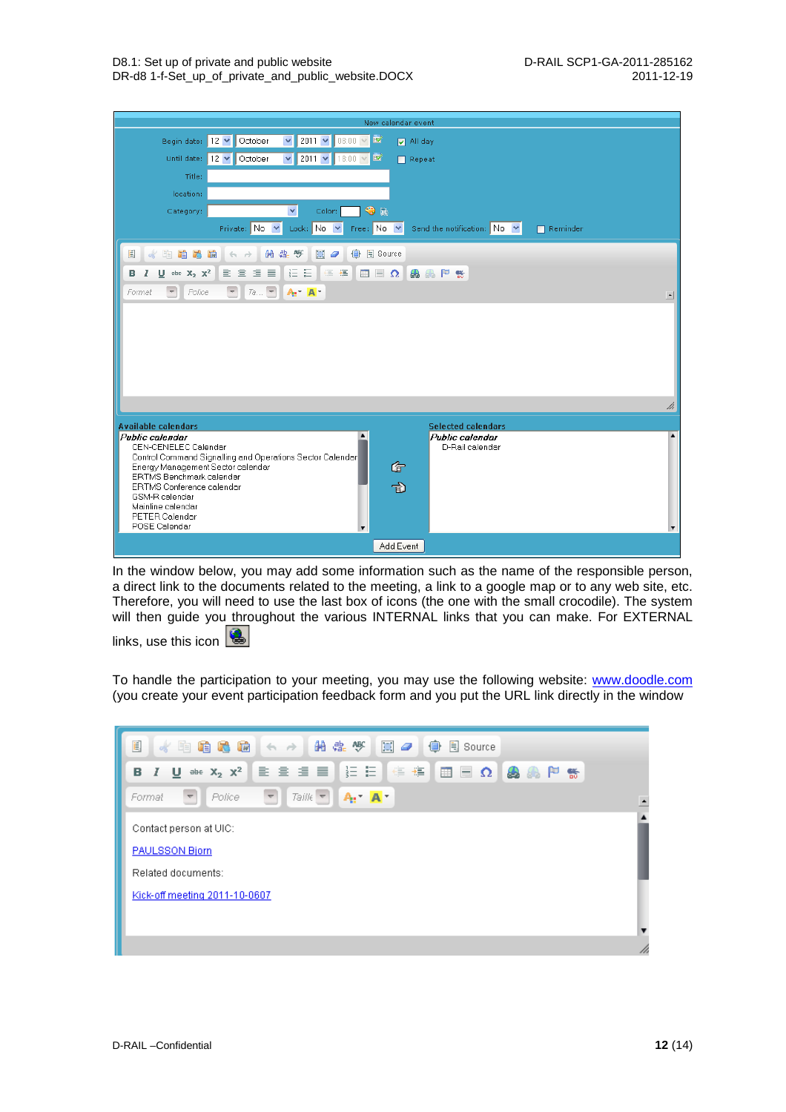|                                                                      | New calendar event                                                                                                           |                          |
|----------------------------------------------------------------------|------------------------------------------------------------------------------------------------------------------------------|--------------------------|
| Begin date:                                                          | $\blacktriangledown$<br>2011 $\vee$ 08:00 $\vee$ $\mathbb{R}$<br>12 V October<br>M All day                                   |                          |
| Until date:                                                          | 12 V October<br>$2011 - 1800 - 18$<br>$\vee$<br>$\Box$ Repeat                                                                |                          |
| Title:                                                               |                                                                                                                              |                          |
| location:                                                            |                                                                                                                              |                          |
| Category:                                                            | $\bigcirc$ $\pi$<br>$\checkmark$<br>Color:                                                                                   |                          |
|                                                                      | Private: No Y<br>Lock: No V<br>Free: $No \vee$<br>Send the notification: $\overline{N}$ No $\overline{M}$<br>$\Box$ Reminder |                          |
| 闺<br>G 5<br>咱<br>凾<br>ok.                                            | 開帶飯<br><b>B</b> Source<br>耳<br>●<br>$\mathcal Q$<br>$A$ $A$                                                                  |                          |
| $\underline{\mathsf{U}}$ also $X_2$ $X^2$<br>в<br>1                  | 重量值<br>胆 田<br><b>EDAAPS</b><br>昌<br>← 三 → 三                                                                                  |                          |
| Police<br>$\overline{\nabla}$<br>Format                              | 7a<br>$\overline{\nabla}$<br>$A_1$ $A_2$                                                                                     | $\left  \bullet \right $ |
|                                                                      |                                                                                                                              |                          |
|                                                                      |                                                                                                                              |                          |
|                                                                      |                                                                                                                              |                          |
|                                                                      |                                                                                                                              |                          |
|                                                                      |                                                                                                                              |                          |
|                                                                      |                                                                                                                              | h                        |
| <b>Available calendars</b>                                           | <b>Selected calendars</b>                                                                                                    |                          |
| Public calendar<br>CEN-CENELEC Calendar                              | $\blacktriangle$<br>Public calendar<br>D-Rail calendar                                                                       | $\blacktriangle$         |
|                                                                      | Control Command Signalling and Operations Sector Calendar                                                                    |                          |
| Energy Management Sector calendar<br><b>ERTMS Benchmark calendar</b> | G                                                                                                                            |                          |
| ERTMS Conference calendar<br>GSM-R calendar                          | 司                                                                                                                            |                          |
| Mainline calendar<br>PETER Calendar                                  |                                                                                                                              |                          |
| POSE Calendar                                                        | ▼                                                                                                                            |                          |
|                                                                      | Add Event                                                                                                                    |                          |

In the window below, you may add some information such as the name of the responsible person, a direct link to the documents related to the meeting, a link to a google map or to any web site, etc. Therefore, you will need to use the last box of icons (the one with the small crocodile). The system will then guide you throughout the various INTERNAL links that you can make. For EXTERNAL

links, use this icon  $\Box$ 

To handle the participation to your meeting, you may use the following website: [www.doodle.com](http://www.doodle.com/) (you create your event participation feedback form and you put the URL link directly in the window